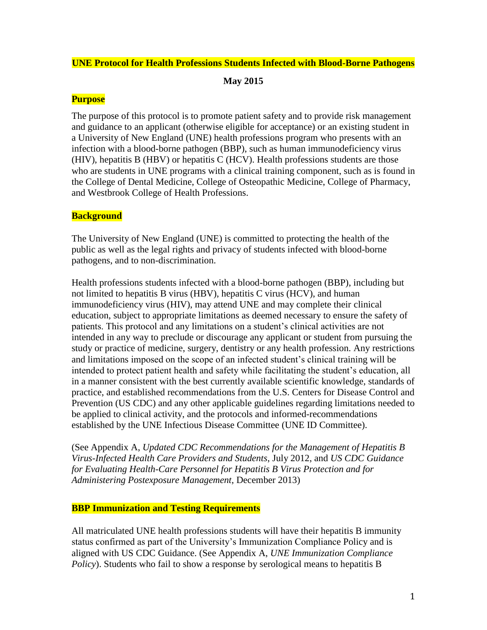### **UNE Protocol for Health Professions Students Infected with Blood-Borne Pathogens**

**May 2015**

### **Purpose**

The purpose of this protocol is to promote patient safety and to provide risk management and guidance to an applicant (otherwise eligible for acceptance) or an existing student in a University of New England (UNE) health professions program who presents with an infection with a blood-borne pathogen (BBP), such as human immunodeficiency virus (HIV), hepatitis B (HBV) or hepatitis C (HCV). Health professions students are those who are students in UNE programs with a clinical training component, such as is found in the College of Dental Medicine, College of Osteopathic Medicine, College of Pharmacy, and Westbrook College of Health Professions.

## **Background**

The University of New England (UNE) is committed to protecting the health of the public as well as the legal rights and privacy of students infected with blood-borne pathogens, and to non-discrimination.

Health professions students infected with a blood-borne pathogen (BBP), including but not limited to hepatitis B virus (HBV), hepatitis C virus (HCV), and human immunodeficiency virus (HIV), may attend UNE and may complete their clinical education, subject to appropriate limitations as deemed necessary to ensure the safety of patients. This protocol and any limitations on a student's clinical activities are not intended in any way to preclude or discourage any applicant or student from pursuing the study or practice of medicine, surgery, dentistry or any health profession. Any restrictions and limitations imposed on the scope of an infected student's clinical training will be intended to protect patient health and safety while facilitating the student's education, all in a manner consistent with the best currently available scientific knowledge, standards of practice, and established recommendations from the U.S. Centers for Disease Control and Prevention (US CDC) and any other applicable guidelines regarding limitations needed to be applied to clinical activity, and the protocols and informed-recommendations established by the UNE Infectious Disease Committee (UNE ID Committee).

(See Appendix A, *Updated CDC Recommendations for the Management of Hepatitis B Virus-Infected Health Care Providers and Students*, July 2012, and *US CDC Guidance for Evaluating Health-Care Personnel for Hepatitis B Virus Protection and for Administering Postexposure Management*, December 2013)

### **BBP Immunization and Testing Requirements**

All matriculated UNE health professions students will have their hepatitis B immunity status confirmed as part of the University's Immunization Compliance Policy and is aligned with US CDC Guidance. (See Appendix A, *UNE Immunization Compliance Policy*). Students who fail to show a response by serological means to hepatitis B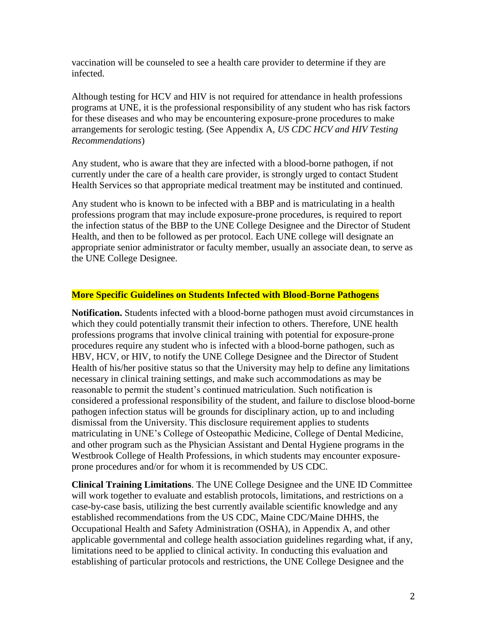vaccination will be counseled to see a health care provider to determine if they are infected.

Although testing for HCV and HIV is not required for attendance in health professions programs at UNE, it is the professional responsibility of any student who has risk factors for these diseases and who may be encountering exposure-prone procedures to make arrangements for serologic testing. (See Appendix A, *US CDC HCV and HIV Testing Recommendations*)

Any student, who is aware that they are infected with a blood-borne pathogen, if not currently under the care of a health care provider, is strongly urged to contact Student Health Services so that appropriate medical treatment may be instituted and continued.

Any student who is known to be infected with a BBP and is matriculating in a health professions program that may include exposure-prone procedures, is required to report the infection status of the BBP to the UNE College Designee and the Director of Student Health, and then to be followed as per protocol. Each UNE college will designate an appropriate senior administrator or faculty member, usually an associate dean, to serve as the UNE College Designee.

### **More Specific Guidelines on Students Infected with Blood-Borne Pathogens**

**Notification.** Students infected with a blood-borne pathogen must avoid circumstances in which they could potentially transmit their infection to others. Therefore, UNE health professions programs that involve clinical training with potential for exposure-prone procedures require any student who is infected with a blood-borne pathogen, such as HBV, HCV, or HIV, to notify the UNE College Designee and the Director of Student Health of his/her positive status so that the University may help to define any limitations necessary in clinical training settings, and make such accommodations as may be reasonable to permit the student's continued matriculation. Such notification is considered a professional responsibility of the student, and failure to disclose blood-borne pathogen infection status will be grounds for disciplinary action, up to and including dismissal from the University. This disclosure requirement applies to students matriculating in UNE's College of Osteopathic Medicine, College of Dental Medicine, and other program such as the Physician Assistant and Dental Hygiene programs in the Westbrook College of Health Professions, in which students may encounter exposureprone procedures and/or for whom it is recommended by US CDC.

**Clinical Training Limitations**. The UNE College Designee and the UNE ID Committee will work together to evaluate and establish protocols, limitations, and restrictions on a case-by-case basis, utilizing the best currently available scientific knowledge and any established recommendations from the US CDC, Maine CDC/Maine DHHS, the Occupational Health and Safety Administration (OSHA), in Appendix A, and other applicable governmental and college health association guidelines regarding what, if any, limitations need to be applied to clinical activity. In conducting this evaluation and establishing of particular protocols and restrictions, the UNE College Designee and the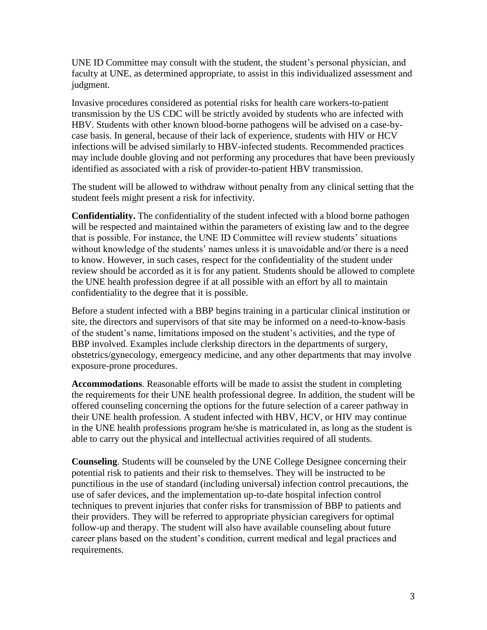UNE ID Committee may consult with the student, the student's personal physician, and faculty at UNE, as determined appropriate, to assist in this individualized assessment and judgment.

Invasive procedures considered as potential risks for health care workers-to-patient transmission by the US CDC will be strictly avoided by students who are infected with HBV. Students with other known blood-borne pathogens will be advised on a case-bycase basis. In general, because of their lack of experience, students with HIV or HCV infections will be advised similarly to HBV-infected students. Recommended practices may include double gloving and not performing any procedures that have been previously identified as associated with a risk of provider-to-patient HBV transmission.

The student will be allowed to withdraw without penalty from any clinical setting that the student feels might present a risk for infectivity.

**Confidentiality.** The confidentiality of the student infected with a blood borne pathogen will be respected and maintained within the parameters of existing law and to the degree that is possible. For instance, the UNE ID Committee will review students' situations without knowledge of the students' names unless it is unavoidable and/or there is a need to know. However, in such cases, respect for the confidentiality of the student under review should be accorded as it is for any patient. Students should be allowed to complete the UNE health profession degree if at all possible with an effort by all to maintain confidentiality to the degree that it is possible.

Before a student infected with a BBP begins training in a particular clinical institution or site, the directors and supervisors of that site may be informed on a need-to-know-basis of the student's name, limitations imposed on the student's activities, and the type of BBP involved. Examples include clerkship directors in the departments of surgery, obstetrics/gynecology, emergency medicine, and any other departments that may involve exposure-prone procedures.

**Accommodations**. Reasonable efforts will be made to assist the student in completing the requirements for their UNE health professional degree. In addition, the student will be offered counseling concerning the options for the future selection of a career pathway in their UNE health profession. A student infected with HBV, HCV, or HIV may continue in the UNE health professions program he/she is matriculated in, as long as the student is able to carry out the physical and intellectual activities required of all students.

**Counseling**. Students will be counseled by the UNE College Designee concerning their potential risk to patients and their risk to themselves. They will be instructed to be punctilious in the use of standard (including universal) infection control precautions, the use of safer devices, and the implementation up-to-date hospital infection control techniques to prevent injuries that confer risks for transmission of BBP to patients and their providers. They will be referred to appropriate physician caregivers for optimal follow-up and therapy. The student will also have available counseling about future career plans based on the student's condition, current medical and legal practices and requirements.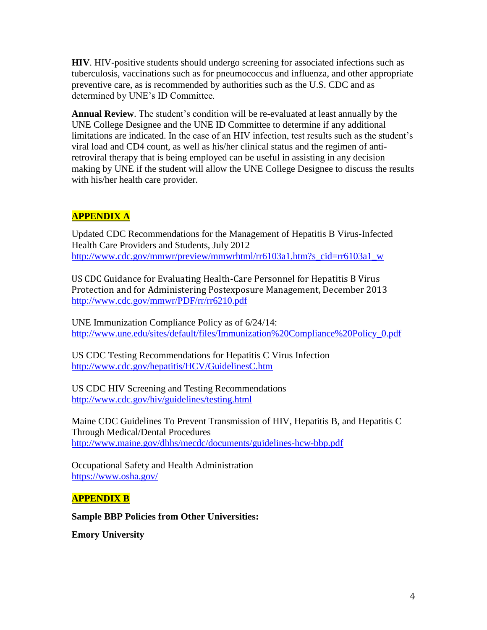**HIV**. HIV-positive students should undergo screening for associated infections such as tuberculosis, vaccinations such as for pneumococcus and influenza, and other appropriate preventive care, as is recommended by authorities such as the U.S. CDC and as determined by UNE's ID Committee.

**Annual Review**. The student's condition will be re-evaluated at least annually by the UNE College Designee and the UNE ID Committee to determine if any additional limitations are indicated. In the case of an HIV infection, test results such as the student's viral load and CD4 count, as well as his/her clinical status and the regimen of antiretroviral therapy that is being employed can be useful in assisting in any decision making by UNE if the student will allow the UNE College Designee to discuss the results with his/her health care provider.

# **APPENDIX A**

Updated CDC Recommendations for the Management of Hepatitis B Virus-Infected Health Care Providers and Students, July 2012 [http://www.cdc.gov/mmwr/preview/mmwrhtml/rr6103a1.htm?s\\_cid=rr6103a1\\_w](http://www.cdc.gov/mmwr/preview/mmwrhtml/rr6103a1.htm?s_cid=rr6103a1_w)

US CDC Guidance for Evaluating Health-Care Personnel for Hepatitis B Virus Protection and for Administering Postexposure Management, December 2013 <http://www.cdc.gov/mmwr/PDF/rr/rr6210.pdf>

UNE Immunization Compliance Policy as of 6/24/14: [http://www.une.edu/sites/default/files/Immunization%20Compliance%20Policy\\_0.pdf](http://www.une.edu/sites/default/files/Immunization%20Compliance%20Policy_0.pdf)

US CDC Testing Recommendations for Hepatitis C Virus Infection <http://www.cdc.gov/hepatitis/HCV/GuidelinesC.htm>

US CDC HIV Screening and Testing Recommendations <http://www.cdc.gov/hiv/guidelines/testing.html>

Maine CDC Guidelines To Prevent Transmission of HIV, Hepatitis B, and Hepatitis C Through Medical/Dental Procedures <http://www.maine.gov/dhhs/mecdc/documents/guidelines-hcw-bbp.pdf>

Occupational Safety and Health Administration <https://www.osha.gov/>

## **APPENDIX B**

**Sample BBP Policies from Other Universities:** 

**Emory University**